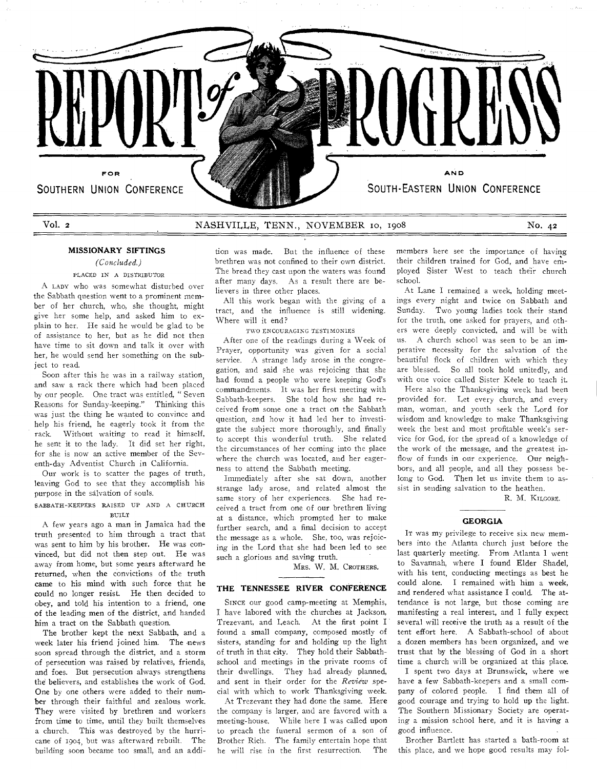

# Vol. 2 MASHVILLE, TENN., NOVEMBER 10, 1908 No. 42

## **MISSIONARY SIFTINGS**

## *(Concluded.)*

## PLACED IN A DISTRIBUTOR

A LADY who was somewhat disturbed over the Sabbath question went to a prominent member of her church, who, she thought, might give her some help, and asked him to explain **to her.** He said he would be glad to be of assistance to her, but as he did not then have time to sit down and talk it over with her, he would send her something on the subject to read.

Soon after this he **was in a** railway station, and saw a rack there which had been placed by our people. One tract was entitled, " Seven Reasons for Sunday-keeping." Thinking this was just the thing he wanted to convince and help his friend, he eagerly took it from the rack. Without waiting to read it himself, he sent it to the lady. It did set her right, for she is now an active member of the Seventh-day Adventist Church in California.

Our work is to scatter the pages of truth, leaving God to see that they accomplish his purpose in the salvation of souls.

#### SABBATH-KEEPERS RAISED UP AND A CHURCH **BUILT**

A few years ago a man in Jamaica had the truth presented to him through a tract that was sent to him by his brother. He was convinced, but did not then step out. He was away from home, but some years afterward he returned, when the convictions of the truth came to his mind with such force that he could no longer resist. He then decided to obey, and told his intention to a friend, one of the leading men of the district, and handed him a tract on the Sabbath question.

The brother kept the next Sabbath, and a week later his friend joined him. The news soon spread through the district, and a storm of persecution was raised by relatives, friends, and foes. But persecution always strengthens the believers, and establishes the work of God. One by one others were added to their number through their faithful and zealous work. They were visited by brethren and workers from time to time, until they built themselves a church. This was destroyed by the hurricane of 1904, but was afterward rebuilt. The building soon became **too** small, and an addi-

tion was made. But the influence of these brethren was not confined to their own district. The bread they cast upon the waters was found after many days. As a result **there** are believers **in** three other places.

**All this** work began with **the** giving of a tract, and the influence is **still widening. Where** will it end?

TWO ENCOURAGING TESTIMONIES

After **one of the readings during a Week of Prayer, opportunity was given** for **a social service. A strange lady arose** in the congregation, **and said she was** rejoicing that **she**  had found **a people who were** keeping **God's**  commandments. It was **her first** meeting with Sabbath-keepers. She told **how** she had received from some one a tract on the Sabbath question, and how it had led her to investigate the subject more thoroughly, and finally to accept this wonderful truth. She related the circumstances of her coming into the place where the church was located, and her **eagerness** to attend the Sabbath meeting.

Immediately after she sat down, another strange lady arose, and related almost the same story of her experiences. She had received a tract from one of our brethren living at a distance, which prompted her to make further search, and a final decision to accept the message as a whole. She, too, was rejoicing in the Lord that she had been led to see such a glorious and saving truth.

MRS. W. M. CROTHERS.

## **THE TENNESSEE RIVER CONFERENCE**

SINCE our good camp-meeting at Memphis, I have labored with the churches at Jackson, Trezevant, and Leach. At the first point I found a small company, composed mostly of sisters, standing for and holding up the light of truth in that city. They hold their Sabbathschool and meetings in the private rooms of their dwellings. They had already planned, and sent in their order for the *Review* special with which to work Thanksgiving week.

At Trezevant they had done the same. Here the company is larger, and are favored with a meeting-house. While here I was called upon to preach the funeral sermon of a son of Brother Rich. The **family entertain** hope that he will rise in the first resurrection.

members here see the importance of having their children trained for God, and have employed Sister West to teach their church school.

At Lane **I** remained **a week,** holding meetings every night and **twice on** Sabbath and **Sunday.** Two young ladies **took** their stand **for the truth, one asked** for prayers, and others were **deeply convicted, and** will be with **us. A church school was seen** to be an imperative **necessity** for the **salvation** of the beautiful **flock of** children with which they **are blessed. So** all took hold unitedly, and **with one voice** called **Sister** Keele to teach it.

Here **also the Thanksgiving week** had been provided **for. Let every** church, and every man, woman, and **youth seek** the Lord for **wisdom** and knowledge **to make Thanksgiving week** the best and most profitable week's **service for** God, for **the spread of** a knowledge **of the work** of the **message,** and the greatest inflow **of** funds in **our** experience. Our neighbors, and all people, and all they possess belong to God. Then let us invite them to assist in sending salvation to the heathen.

R. M. KILGORE.

## **GEORGIA**

IT was my privilege to receive six new members into the Atlanta church just before the last quarterly meeting. From Atlanta 1 went to Savannah, where I found Elder Shade], with his tent, conducting meetings as best he could alone. I remained with him a week, and rendered what assistance I could. The attendance is not large, but those coming are manifesting a real interest, and I fully expect several will receive the truth as a result of the tent effort here. A Sabbath-school of about a dozen members has been organized, and we trust that by the blessing of God in a short time a church will be organized at this place.

I spent two days at Brunswick, where we have a few Sabbath-keepers and a small company of colored people. I find them all of good courage and trying to hold up the light. The Southern Missionary Society are operating a mission school here, and it is having a good influence.

Brother Bartlett **has started** a bath-room at this place, and we **hope good** results may fol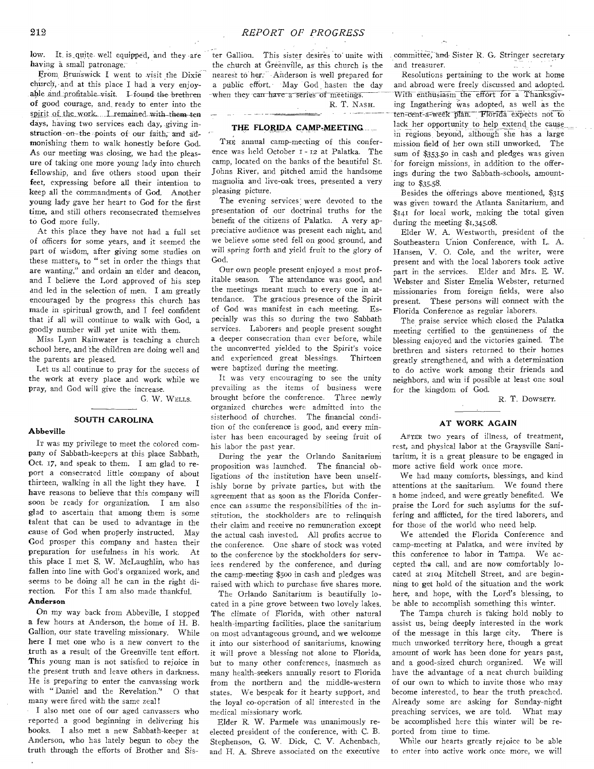low. It is quite well equipped, and they are having a small patronage.

From Brunswick I went to visit the Dixie church, and at this place I had a very enjoyable and\_profitahle visit. 1-found the brethren of good courage, and. ready to enter into the spirit of the work. I remained with-them-ten days, having two services each day, giving instruction-on-the points of our faith, and admonishing them to walk honestly before God. As our meeting was closing, we had the pleasure of taking one more young lady into church fellowship, and five others stood upon their feet, expressing before all their intention to keep all the commandments of God. Another young lady gave her heart to God for the first time, and still others reconsecrated themselves to God more fully.

At this place they have not had a full set of officers for some years, and it seemed the part of wisdom, after giving some studies on these matters, to " set in order the things that are wanting," and ordain an elder and deacon, and I believe the Lord approved of his step and led in the selection of men. I am greatly encouraged by the progress this church has made in spiritual growth, and I feel confident that if all will continue to walk with God, a goodly number will yet unite with them.

Miss Lynn Rainwater is teaching a church school here, and the children are doing well and the parents are pleased.

Let us all continue to pray for the success of the work at every place and work while we pray, and God will give the increase.

G. W. WELLS.

#### **SOUTH CAROLINA**

#### **Abbeville**

IT was my privilege to meet the colored company of Sabbath-keepers at this place Sabbath, Oct. 17, and speak to them. I am glad to report a consecrated little company of about thirteen, walking in all the light they have. I have reasons to believe that this company will soon be ready for organization. I am also glad to ascertain that among them is some talent that can be used to advantage in the cause of God when properly instructed. May God prosper this company and hasten their preparation for usefulness in his work. At this place I met S. W. McLaughlin, who has fallen into line with God's organized work, and seems to be doing all he can in the right direction. For this I am also made thankful. **Anderson** 

On my way back from Abbeville, I stopped a few hours at Anderson, the home of H. B. Gallion, our state traveling missionary. While here I met one who is a new convert to the truth as a result of the Greenville tent effort. This young man is not satisfied to rejoice in the present truth and leave others in darkness. He is preparing to enter the canvassing work with "Daniel and the Revelation." 0 that many were fired with the same zeal!

I also met one of our aged canvassers who reported a good beginning in delivering his books. I also met a new Sabbath-keeper at Anderson, who has lately begun to obey the truth through the efforts of Brother and Sister Gallion. This sister desires to unite with committee, and Sister R. G. Stringer secretary<br>the church at Greenville, as this church is the and treasurer. the church at Greenville, as this church is the nearest to her: Anderson is well prepared for Resolutions pertaining to the work at home

#### **THE FLORIDA CAMP-MEETING**

THE annual camp-meeting of this conference was held October r - 12 at Palatka. The camp, located on the banks of the beautiful St. Johns River, and pitched amid the handsome magnolia and live-oak trees, presented a very pleasing picture.

The evening services: were devoted to the presentation of our doctrinal truths for the benefit of the citizens of Palatka. A very appreciative audience was present each night, and we believe some seed fell on good ground, and will spring forth and yield fruit to the glory of God.

Our own people present enjoyed a most profitable season. The attendance was good, and the meetings meant much to every one in attendance. The gracious presence of the Spirit of God was manifest in each meeting. Especially was this so during the two Sabbath services. Laborers and people present sought a deeper consecration than ever before, while the unconverted yielded to the Spirit's voice and experienced great blessings. Thirteen were baptized during the meeting.

It was very encouraging to see the unity prevailing as the items of business were brought before the conference. Three newly organized churches were admitted into the sisterhood of churches. The financial condition of the conference is good, and every minister has been encouraged by seeing fruit of his labor the past year.

During the year the Orlando Sanitarium proposition was launched. The financial obligations of the institution have been unselfishly borne by private parties, but with the agreement that as soon as the Florida Conference can assume the responsibilities of the institution, the stockholders are to relinquish their claim and receive no remuneration except the actual cash invested. All profits accrue to the conference. One share of stock was voted to the conference by the stockholders for services rendered by the conference, and during the camp-meeting \$500 in cash and pledges was raised with which to purchase five shares more.

The Orlando Sanitarium is beautifully located in a pine grove between two lovely lakes. The climate of Florida, with other natural health-imparting facilities, place the sanitarium on most advantageous ground, and we welcome it into our sisterhood of sanitariums, knowing it will prove a blessing not alone to Florida, but to many other conferences, inasmuch as many health-seekers annually resort to Florida from the northern and the middle-western states. We bespeak for it hearty support, and the loyal co-operation of all interested in the medical missionary work.

Elder R. W. Parmele was unanimously reelected president of the conference, with C. B. Stephenson, G. W. Dick, C. V. Achenbach, and H. A. Shreve associated on the executive

a public effort. May God hasten the day and abroad were freely discussed and adopted. when they-carr-have-a series of meetings. With-enthusiasm the eft--OrTT6r a Thanksgiv- ing Ingathering was adopted, as well as the ten-cent-a-week plan. Florida expects not to lack her opportunity to help extend the cause in regions beyond, although she has a large mission field of her own still unworked. The sum of \$353.50 in cash and pledges was given for foreign missions, in addition to the offerings during the two Sabbath-schools, amounting to \$35.58.

> Besides the offerings above mentioned, \$315 was given toward the Atlanta Sanitarium, and \$141 for local work, making the total given during the meeting \$1,345.08.

> Elder W. A. Westworth, president of the Southeastern Union Conference, with L. A. Hansen, V. 0. Cole, and the writer, were present and with the local laborers took active part in the services. Elder and Mrs. E. W. Webster and Sister Emelia Webster, returned missionaries from foreign fields, were also present. These persons will connect with the Florida Conference as regular laborers.

> The praise service which closed the Palatka meeting certified to the genuineness of the blessing enjoyed and the victories gained. The brethren and sisters returned to their homes greatly strengthened, and with a determination to do active work among their friends and neighbors, and win if possible at least one soul for the kingdom of God.

> > R. T. DowsErr.

#### **AT WORK AGAIN**

AFTER two years of illness, of treatment, rest, and physical labor at the Graysville Sanitarium, it is a great pleasure to be engaged in more active field work once more.

We had many comforts, blessings, and kind attentions at the sanitarium. We found there a home indeed, and were greatly benefited. We praise the Lord for such asylums for the suffering and afflicted, for the tired laborers, and for those of the world who need help.

We attended the Florida Conference and camp-meeting at Palatka, and were invited by this conference to labor in Tampa. We accepted the call, and are now comfortably located at 2104 Mitchell Street, and are beginning to get hold of the situation and the work here, and hope, with the Lord's blessing, to be able to accomplish something this winter.

The Tampa church is faking hold nobly to assist us, being deeply interested in the work of the message in this large city. There is much unworked territory here, though a great amount of work has been done for years past, and a good-sized church organized. We will have the advantage of a neat church building of our own to which to invite those who may become interested, to hear the truth preached. Already some are asking for Sunday-night preaching services, we are told. What may be accomplished here this winter will be reported from time to time.

While our hearts greatly rejoice to be able to enter into active work once more, we will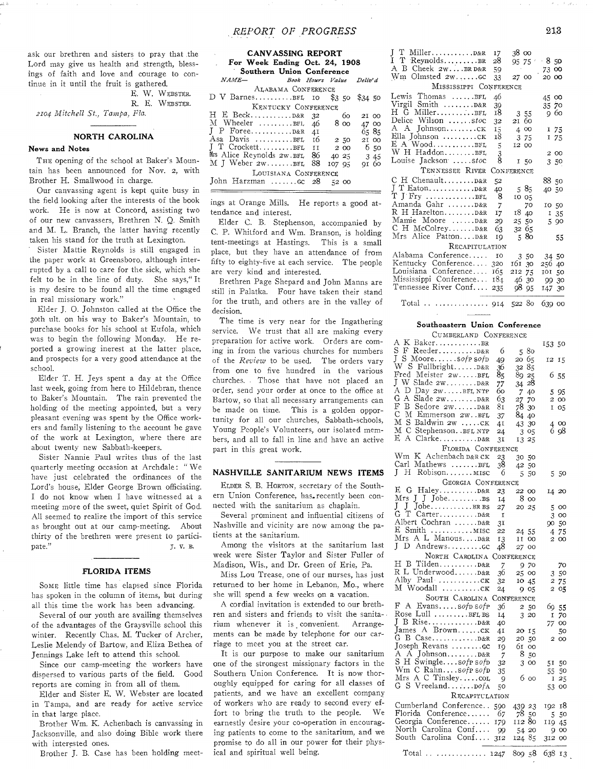ask our brethren and sisters to pray that the Lord may give us health and strength, blessings of faith and love and courage to continue in it until the fruit is gathered.

E. W. WEBSTER. R. E. WEBSTER.

*2104 Mitchell St., Tampa, Fla.* 

## NORTH CAROLINA

#### News and Notes

THE opening of the school at Baker's Mountain has been announced for Nov. 2, with Brother H. Smallwood in charge.

Our canvassing agent is kept quite busy in the field looking after the interests of the book work. He is now at Concord, assisting two of our new canvassers, Brethren N. Q. Smith and M. L. Branch, the latter having recently taken his stand for the truth at Lexington.

Sister Mattie Reynolds is still engaged in the paper work at Greensboro, although interrupted by a call to care for the **sick,** which she felt to be in the line of duty. **She says," It**  is my **desire to be found** all the time **engaged**  in real missionary **work."** 

Elder J. 0. **Johnston** called at the Office the 30th ult. on **his** way to Baker's Mountain, to purchase **books for** his school at Eufola, which **was to begin the** following Monday. He reported a growing inerest at the latter place, and prospects **for a** very good attendance at the school.

Elder T. H. Jeys spent a day at the Office last week, going from here to Hildebran, thence to Baker's Mountain. The rain prevented the holding of the meeting appointed, but a very pleasant evening was spent by the Office workers and **family** listening to the account he gave of the work at Lexington, where there are about twenty new Sabbath-keepers.

Sister Nannie Paul writes thus of the last quarterly meeting occasion at Archdale: " We have just celebrated the ordinances of the Lord's house, Elder George Brown officiating. I do not know when I have witnessed at a meeting more of the sweet, quiet Spirit of God. All seemed to realize the import of this service as brought out at our camp-meeting. About thirty of the brethren were present to participate." 5. V. B.

#### FLORIDA ITEMS

SOME little time has elapsed since Florida has spoken in the column of items, but during all this time the work has been advancing.

Several of our youth are availing themselves of the advantages of the Graysville school this winter. Recently Chas. M. Tucker of Archer, Leslie Melendy of Bartow, and Eliza Bethea of Jennings Lake left to attend this school.

Since our camp-meeting the workers have dispersed to various parts of the field. Good reports are coming in from all of them.

Elder and Sister E. W. Webster are located in Tampa, and are ready for active service in that large place.

Brother Wm. K. Achenbach is canvassing in Jacksonville, and also doing Bible work there with interested ones.

Brother J. B. Case has been holding meet-

| <b>CANVASSING REPORT</b><br>For Week Ending Oct. 24, 1908<br>Southern Union Conference |             |  |  |  |  |  |  |  |
|----------------------------------------------------------------------------------------|-------------|--|--|--|--|--|--|--|
| $NAME-$<br>Book Hours Value Deliv'd                                                    |             |  |  |  |  |  |  |  |
| ALABAMA CONFERENCE                                                                     |             |  |  |  |  |  |  |  |
| ${\rm D\, \ V\, \ Barnes. \dots }$ BFL 10 \$3.50                                       | \$34 50     |  |  |  |  |  |  |  |
| KENTUCKY CONFERENCE                                                                    |             |  |  |  |  |  |  |  |
| 32                                                                                     | 60<br>21 00 |  |  |  |  |  |  |  |
| M Wheeler BFL 46<br>8 00                                                               | 47 00       |  |  |  |  |  |  |  |
| J P Foreep&R 4I                                                                        | 6585        |  |  |  |  |  |  |  |
| Asa Davis BFL 16<br>2,50                                                               | 21 00       |  |  |  |  |  |  |  |
| J T CrockettBFL, II<br>2 00                                                            | 650         |  |  |  |  |  |  |  |
| Mrs Alice Reynolds 2w.BFL 86<br>40 25                                                  | 3 45        |  |  |  |  |  |  |  |
| M J Weber 2wBEL<br>88<br>107 95                                                        | 91 60       |  |  |  |  |  |  |  |
| LOUISIANA CONFERENCE                                                                   |             |  |  |  |  |  |  |  |
| John Harzman  GC 28<br>5200                                                            |             |  |  |  |  |  |  |  |

ings at Orange Mills. He reports a good attendance and interest.

Elder C. B. Stephenson, accompanied by C. P. Whitford and Wm. Branson, is holding tent-meetings at Hastings. This is a small place, but they have an attendance of from fifty to eighty-five at each service. The people are very kind and interested.

Brethren Page Shepard and John Manns are still in Palatka. Four have taken their stand for the truth, and others **are** in the valley of decision.

The **time is** very near for the Ingathering **service. We trust** that all are making every **preparation** for active work. Orders are coming **in from the** various churches for numbers of the *Review* to be used. The orders vary from one **to** five hundred in the various churches. . Those that have not placed an order, **send** your order **at once to the office** at Bartow, **so that** all **necessary** arrangements can be **made on** time. This is a golden opportunity **for** all our churches, Sabbath-schools, Young People's Volunteers, our isolated members, and all to fall in line and **have an** active **part** in this great work.

#### NASHVILLE SANITARIUM NEWS ITEMS

ELDER S. B. HORTON, secretary of the Southern Union Conference, has recently been connected with the sanitarium as chaplain.

Several prominent and influential citizens of Nashville and vicinity are now among the patients at the sanitarium.

Among the visitors at the sanitarium last week were Sister Taylor and Sister Fuller of Madison, Wis., and Dr. Green of Erie, Pa.

Miss Lou Trease, one of our nurses, has just returned to her home in Lebanon, Mo., where she will spend a few weeks on a vacation.

A cordial invitation is extended to our brethren and sisters and friends to visit the sanitarium whenever it is convenient. Arrangements can be made by telephone for our carriage to meet you at the street car.

It is our purpose to make our sanitarium one of the strongest missionary factors in the Southern Union Conference. It is now thoroughly equipped for caring for all classes of patients, and we have an excellent company of workers who are ready to second every effort to bring the truth to the people. We earnestly desire your co-operation in encouraging patients to come to the sanitarium, and we promise to do all in our power for their physical and spiritual well being.

|                            | 17            | 38 00      |        |
|----------------------------|---------------|------------|--------|
| I T ReynoldsBR             | 28            | 95 75 1    | 850    |
| A B Cheek 2wBRD&R          | 59            |            | 73 00  |
| $Wm$ Olmsted $2w$ $GC$     | 33            | 27 00      | 20 00  |
| MISSISSIPPI CONFERENCE     |               |            |        |
| Lewis Thomas BFL           | 46            |            | 45 00  |
| Virgil Smith D&R           | 39            |            | 35 70  |
| H G MillerBFL              | 18            | 355        | 960    |
| Delice Wilson stoc         | 32            | 21 60      |        |
| A A Johnsonck              | 15            | 4 00       | 1 75   |
| Ella Johnson CK            | 18            | 3 75       | 175    |
| $E A Wood$ $BFL$           | 5             | 12 00      |        |
| W H HaddonBFL              | $\frac{3}{8}$ |            | 2 00   |
| Louise Jackson stoc        |               | I 50       | 350    |
| TENNESSEE RIVER            |               | CONFERENCE |        |
| C H Chenault D&R           | 52            |            | 88 50  |
|                            | 40            | 585        | 40 50  |
| $T$ J Fry BFL              | 8             | 10 05      |        |
| Amanda Gahr D&R            | 7             | 70         | 10 50  |
| R H Hazelton D&R           | 17            | 18 40      | 135    |
| Mamie Moore D&R            | 29            | 25 50      | 5 90   |
| C H McColreyD&R            | 63            | 32 65      |        |
| Mrs Alice PattonD&R        | IQ            | 580        | 55     |
| RECAPITULATION             |               |            |        |
| Alabama Conference         | <b>TO</b>     | 3 50       | 34 50  |
| Kentucky Conference 320    |               | 161 30     | 256 40 |
| Louisiana Conference 165   |               | 212 75     | 101 50 |
| Mississippi Conference 184 |               | 46 30      | 99 30  |
| Tennessee River Conf 235   |               | 9895       | 147 30 |
|                            |               |            |        |

Total .. .............. 914 522 80 639 00

## Southeastern Union Conference

| CUMBERLAND CONFERENCE                         |     |                                 |                     |
|-----------------------------------------------|-----|---------------------------------|---------------------|
| A K BakerBR                                   |     |                                 | 153 50              |
| S<br>F Reeder                                 | 6   | 580                             |                     |
| L<br>S Mooresofp sofp                         | 49  | 20 65                           | 12<br><b>I5</b>     |
| W S FullbrightD&R                             | 36  | 32<br>85                        |                     |
| Fred Meister 2wBFL                            | 85  | 8925                            | 6<br>.55            |
| J W Slade 2wD&R                               | 77  | 28<br>34                        |                     |
| Α<br>$\mathcal{D}$<br>Day $2W \ldots$ BFL NTP | 60  | 7<br>40                         | 5<br>-95            |
| G<br>Α<br>$Slade zw \ldots \ldots D&R$        | 63  |                                 |                     |
| F<br>в<br>Sedore 2WD&R                        | 81  | 27<br>70<br>78                  | 2 00                |
| C<br>M Emmerson 2w. BFL                       |     | 30                              | I<br>O <sub>5</sub> |
| Μ                                             | 37  | 84 40                           |                     |
| S Baldwin 2w CK                               | 41  | 43<br>30                        | oo<br>$\frac{4}{6}$ |
| мс<br>Stephenson. . BFL NTP                   | 24  | 3 05                            | 98                  |
| E<br>A                                        | 31  | 13 25                           |                     |
| FLORIDA CONFERENCE                            |     |                                 |                     |
| Wm K Achenbach D&R CK                         | 23  | 30 50                           |                     |
| Carl Mathews BFL                              | 38  | 42 50                           |                     |
| J<br>Н<br>Robison MISC                        | 6   | 5.<br>50                        | 550                 |
| GEORGIA CONFERENCE                            |     |                                 |                     |
|                                               |     |                                 |                     |
|                                               | 23  | 22 00                           | 14 20               |
| Mrs J J Jobe                                  | 14  | 8 00                            |                     |
| J<br>J<br>JobeBRBS                            | 27  | 20 25                           | 5<br>00             |
| G<br>T<br>CarterD&R                           | I   |                                 | 3 00                |
| Albert Cochran D&R                            | 31  |                                 | 90 50               |
| E Smith  MISC                                 | 22  | 24 55                           | 75<br>4             |
| Mrs A L Manous D&R                            | 13  | $\rm II$<br>oo                  | 2 00                |
| $\mathbf{I}$<br>D Andrewscc                   | 48  | 27 00                           |                     |
| NORTH CAROLINA CONFERENCE                     |     |                                 |                     |
| H B Tilden D&R                                | 7   | 970                             | 70                  |
| R L Underwood D&R                             | 36  | 25 00                           | 350                 |
|                                               | 32  | 10 45                           | 2<br>75             |
| M Woodall ck                                  |     |                                 | 2                   |
|                                               | 24  | 905                             | $_{05}$             |
| SOUTH CAROLINA                                |     | CONFERENCE                      |                     |
| F<br>A Evanssofp sofp                         | 36  | 2 50                            | 69 55               |
| Rose Lull $\dots \dots \dots$ BFL BS          | 14  | 3 20                            | 70<br>I             |
| J                                             | 40  |                                 | oo<br>77.           |
| James A Brownck                               | 41  | 20 15                           | 50                  |
|                                               | 29  | 20 50                           | 2 00                |
| Joseph Revans  GC                             | 19  | 61.<br><sub>00</sub>            |                     |
|                                               | 7   | 8 <sub>50</sub>                 |                     |
| S H Swinglesofp sofp                          | 32  | 3 <sup>1</sup><br><sub>00</sub> | 51<br>50            |
| Wm C Rahnsofp sofp                            | 35  |                                 | 55<br>50            |
| Mrs A C Tinsleycom                            | 9   | 6 00                            | 25<br>Ι             |
| G S Vreeland DOfA                             | 50  |                                 | 53<br>oo            |
| RECAPITULATION                                |     |                                 |                     |
|                                               |     |                                 |                     |
| Cumberland Conference                         | 590 | 439 23                          | -18<br>192          |
| Florida Conference                            | 67  | 78 50                           | 5<br>50             |
| Georgia Conference                            | 179 | 112 80                          | 110<br>45           |
| North Carolina Conf                           | -99 | 54 20                           | 9<br>oo             |
| South Carolina Conf                           | 312 | 124 85                          | 312<br>oo           |
|                                               |     |                                 |                     |

Total .. ............. 1247 809 58 638 13